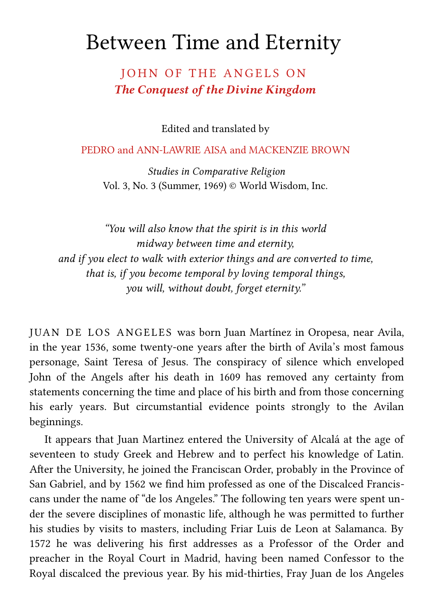# Between Time and Eternity

# JOHN OF THE ANGELS ON *The Conquest of the Divine Kingdom*

Edited and translated by

#### PEDRO and ANN-LAWRIE AISA and MACKENZIE BROWN

*[Studies in Comparative Religion](http://www.studiesincomparativereligion.com/)* Vol. 3, No. 3 (Summer, 1969) © World Wisdom, Inc.

*"You will also know that the spirit is in this world midway between time and eternity, and if you elect to walk with exterior things and are converted to time, that is, if you become temporal by loving temporal things, you will, without doubt, forget eternity."* 

JUAN DE LOS ANGELES was born Juan Martínez in Oropesa, near Avila, in the year 1536, some twenty-one years after the birth of Avila's most famous personage, Saint Teresa of Jesus. The conspiracy of silence which enveloped John of the Angels after his death in 1609 has removed any certainty from statements concerning the time and place of his birth and from those concerning his early years. But circumstantial evidence points strongly to the Avilan beginnings.

 It appears that Juan Martinez entered the University of Alcalá at the age of seventeen to study Greek and Hebrew and to perfect his knowledge of Latin. After the University, he joined the Franciscan Order, probably in the Province of San Gabriel, and by 1562 we find him professed as one of the Discalced Franciscans under the name of "de los Angeles." The following ten years were spent under the severe disciplines of monastic life, although he was permitted to further his studies by visits to masters, including Friar Luis de Leon at Salamanca. By 1572 he was delivering his first addresses as a Professor of the Order and preacher in the Royal Court in Madrid, having been named Confessor to the Royal discalced the previous year. By his mid-thirties, Fray Juan de los Angeles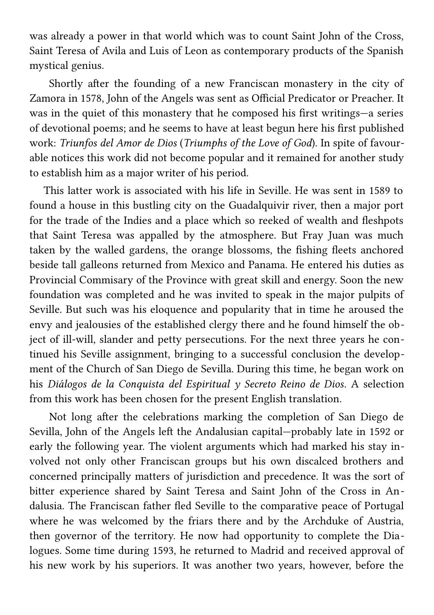was already a power in that world which was to count Saint John of the Cross, Saint Teresa of Avila and Luis of Leon as contemporary products of the Spanish mystical genius.

 Shortly after the founding of a new Franciscan monastery in the city of Zamora in 1578, John of the Angels was sent as Official Predicator or Preacher. It was in the quiet of this monastery that he composed his first writings—a series of devotional poems; and he seems to have at least begun here his first published work: *Triunfos del Amor de Dios* (*Triumphs of the Love of God*). In spite of favourable notices this work did not become popular and it remained for another study to establish him as a major writer of his period.

 This latter work is associated with his life in Seville. He was sent in 1589 to found a house in this bustling city on the Guadalquivir river, then a major port for the trade of the Indies and a place which so reeked of wealth and fleshpots that Saint Teresa was appalled by the atmosphere. But Fray Juan was much taken by the walled gardens, the orange blossoms, the fishing fleets anchored beside tall galleons returned from Mexico and Panama. He entered his duties as Provincial Commisary of the Province with great skill and energy. Soon the new foundation was completed and he was invited to speak in the major pulpits of Seville. But such was his eloquence and popularity that in time he aroused the envy and jealousies of the established clergy there and he found himself the object of ill-will, slander and petty persecutions. For the next three years he continued his Seville assignment, bringing to a successful conclusion the development of the Church of San Diego de Sevilla. During this time, he began work on his *Diálogos de la Conquista del Espiritual y Secreto Reino de Dios*. A selection from this work has been chosen for the present English translation.

 Not long after the celebrations marking the completion of San Diego de Sevilla, John of the Angels left the Andalusian capital—probably late in 1592 or early the following year. The violent arguments which had marked his stay involved not only other Franciscan groups but his own discalced brothers and concerned principally matters of jurisdiction and precedence. It was the sort of bitter experience shared by Saint Teresa and Saint John of the Cross in Andalusia. The Franciscan father fled Seville to the comparative peace of Portugal where he was welcomed by the friars there and by the Archduke of Austria, then governor of the territory. He now had opportunity to complete the Dialogues. Some time during 1593, he returned to Madrid and received approval of his new work by his superiors. It was another two years, however, before the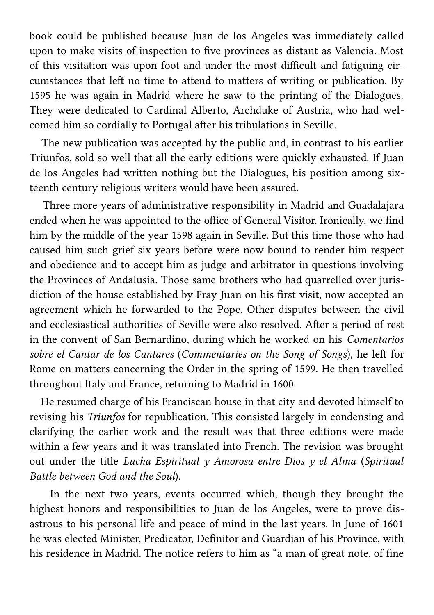book could be published because Juan de los Angeles was immediately called upon to make visits of inspection to five provinces as distant as Valencia. Most of this visitation was upon foot and under the most difficult and fatiguing circumstances that left no time to attend to matters of writing or publication. By 1595 he was again in Madrid where he saw to the printing of the Dialogues. They were dedicated to Cardinal Alberto, Archduke of Austria, who had welcomed him so cordially to Portugal after his tribulations in Seville.

 The new publication was accepted by the public and, in contrast to his earlier Triunfos, sold so well that all the early editions were quickly exhausted. If Juan de los Angeles had written nothing but the Dialogues, his position among sixteenth century religious writers would have been assured.

 Three more years of administrative responsibility in Madrid and Guadalajara ended when he was appointed to the office of General Visitor. Ironically, we find him by the middle of the year 1598 again in Seville. But this time those who had caused him such grief six years before were now bound to render him respect and obedience and to accept him as judge and arbitrator in questions involving the Provinces of Andalusia. Those same brothers who had quarrelled over jurisdiction of the house established by Fray Juan on his first visit, now accepted an agreement which he forwarded to the Pope. Other disputes between the civil and ecclesiastical authorities of Seville were also resolved. After a period of rest in the convent of San Bernardino, during which he worked on his *Comentarios sobre el Cantar de los Cantares* (*Commentaries on the Song of Songs*), he left for Rome on matters concerning the Order in the spring of 1599. He then travelled throughout Italy and France, returning to Madrid in 1600.

 He resumed charge of his Franciscan house in that city and devoted himself to revising his *Triunfos* for republication. This consisted largely in condensing and clarifying the earlier work and the result was that three editions were made within a few years and it was translated into French. The revision was brought out under the title *Lucha Espiritual y Amorosa entre Dios y el Alma* (*Spiritual Battle between God and the Soul*).

 In the next two years, events occurred which, though they brought the highest honors and responsibilities to Juan de los Angeles, were to prove disastrous to his personal life and peace of mind in the last years. In June of 1601 he was elected Minister, Predicator, Definitor and Guardian of his Province, with his residence in Madrid. The notice refers to him as "a man of great note, of fine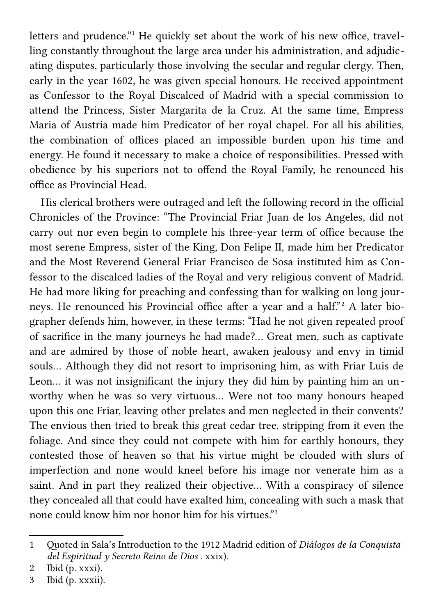letters and prudence."<sup>[1](#page-3-0)</sup> He quickly set about the work of his new office, travelling constantly throughout the large area under his administration, and adjudicating disputes, particularly those involving the secular and regular clergy. Then, early in the year 1602, he was given special honours. He received appointment as Confessor to the Royal Discalced of Madrid with a special commission to attend the Princess, Sister Margarita de la Cruz. At the same time, Empress Maria of Austria made him Predicator of her royal chapel. For all his abilities, the combination of offices placed an impossible burden upon his time and energy. He found it necessary to make a choice of responsibilities. Pressed with obedience by his superiors not to offend the Royal Family, he renounced his office as Provincial Head.

 His clerical brothers were outraged and left the following record in the official Chronicles of the Province: "The Provincial Friar Juan de los Angeles, did not carry out nor even begin to complete his three-year term of office because the most serene Empress, sister of the King, Don Felipe II, made him her Predicator and the Most Reverend General Friar Francisco de Sosa instituted him as Confessor to the discalced ladies of the Royal and very religious convent of Madrid. He had more liking for preaching and confessing than for walking on long jour-neys. He renounced his Provincial office after a year and a half."<sup>[2](#page-3-1)</sup> A later biographer defends him, however, in these terms: "Had he not given repeated proof of sacrifice in the many journeys he had made?… Great men, such as captivate and are admired by those of noble heart, awaken jealousy and envy in timid souls… Although they did not resort to imprisoning him, as with Friar Luis de Leon… it was not insignificant the injury they did him by painting him an unworthy when he was so very virtuous… Were not too many honours heaped upon this one Friar, leaving other prelates and men neglected in their convents? The envious then tried to break this great cedar tree, stripping from it even the foliage. And since they could not compete with him for earthly honours, they contested those of heaven so that his virtue might be clouded with slurs of imperfection and none would kneel before his image nor venerate him as a saint. And in part they realized their objective… With a conspiracy of silence they concealed all that could have exalted him, concealing with such a mask that none could know him nor honor him for his virtues."[3](#page-3-2)

<span id="page-3-0"></span><sup>1</sup> Quoted in Sala's Introduction to the 1912 Madrid edition of *Diálogos de la Conquista del Espiritual y Secreto Reino de Dios* . xxix).

<span id="page-3-1"></span><sup>2</sup> Ibid (p. xxxi).

<span id="page-3-2"></span><sup>3</sup> Ibid (p. xxxii).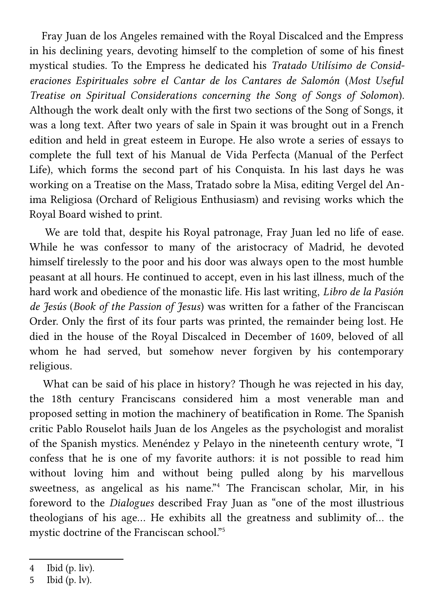Fray Juan de los Angeles remained with the Royal Discalced and the Empress in his declining years, devoting himself to the completion of some of his finest mystical studies. To the Empress he dedicated his *Tratado Utilísimo de Consideraciones Espirituales sobre el Cantar de los Cantares de Salomón* (*Most Useful Treatise on Spiritual Considerations concerning the Song of Songs of Solomon*). Although the work dealt only with the first two sections of the Song of Songs, it was a long text. After two years of sale in Spain it was brought out in a French edition and held in great esteem in Europe. He also wrote a series of essays to complete the full text of his Manual de Vida Perfecta (Manual of the Perfect Life), which forms the second part of his Conquista. In his last days he was working on a Treatise on the Mass, Tratado sobre la Misa, editing Vergel del Anima Religiosa (Orchard of Religious Enthusiasm) and revising works which the Royal Board wished to print.

 We are told that, despite his Royal patronage, Fray Juan led no life of ease. While he was confessor to many of the aristocracy of Madrid, he devoted himself tirelessly to the poor and his door was always open to the most humble peasant at all hours. He continued to accept, even in his last illness, much of the hard work and obedience of the monastic life. His last writing, *Libro de la Pasión de Jesús* (*Book of the Passion of Jesus*) was written for a father of the Franciscan Order. Only the first of its four parts was printed, the remainder being lost. He died in the house of the Royal Discalced in December of 1609, beloved of all whom he had served, but somehow never forgiven by his contemporary religious.

 What can be said of his place in history? Though he was rejected in his day, the 18th century Franciscans considered him a most venerable man and proposed setting in motion the machinery of beatification in Rome. The Spanish critic Pablo Rouselot hails Juan de los Angeles as the psychologist and moralist of the Spanish mystics. Menéndez y Pelayo in the nineteenth century wrote, "I confess that he is one of my favorite authors: it is not possible to read him without loving him and without being pulled along by his marvellous sweetness, as angelical as his name."[4](#page-4-0) The Franciscan scholar, Mir, in his foreword to the *Dialogues* described Fray Juan as "one of the most illustrious theologians of his age… He exhibits all the greatness and sublimity of… the mystic doctrine of the Franciscan school."[5](#page-4-1)

<span id="page-4-0"></span><sup>4</sup> Ibid (p. liv).

<span id="page-4-1"></span><sup>5</sup> Ibid (p. lv).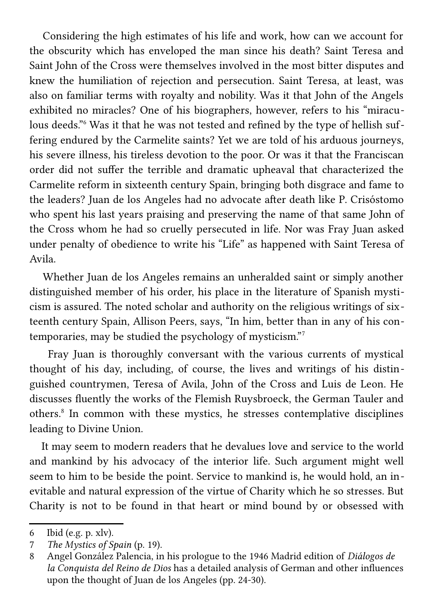Considering the high estimates of his life and work, how can we account for the obscurity which has enveloped the man since his death? Saint Teresa and Saint John of the Cross were themselves involved in the most bitter disputes and knew the humiliation of rejection and persecution. Saint Teresa, at least, was also on familiar terms with royalty and nobility. Was it that John of the Angels exhibited no miracles? One of his biographers, however, refers to his "miraculous deeds."[6](#page-5-0) Was it that he was not tested and refined by the type of hellish suffering endured by the Carmelite saints? Yet we are told of his arduous journeys, his severe illness, his tireless devotion to the poor. Or was it that the Franciscan order did not suffer the terrible and dramatic upheaval that characterized the Carmelite reform in sixteenth century Spain, bringing both disgrace and fame to the leaders? Juan de los Angeles had no advocate after death like P. Crisóstomo who spent his last years praising and preserving the name of that same John of the Cross whom he had so cruelly persecuted in life. Nor was Fray Juan asked under penalty of obedience to write his "Life" as happened with Saint Teresa of Avila.

 Whether Juan de los Angeles remains an unheralded saint or simply another distinguished member of his order, his place in the literature of Spanish mysticism is assured. The noted scholar and authority on the religious writings of sixteenth century Spain, Allison Peers, says, "In him, better than in any of his contemporaries, may be studied the psychology of mysticism."[7](#page-5-1)

 Fray Juan is thoroughly conversant with the various currents of mystical thought of his day, including, of course, the lives and writings of his distinguished countrymen, Teresa of Avila, John of the Cross and Luis de Leon. He discusses fluently the works of the Flemish Ruysbroeck, the German Tauler and others.<sup>[8](#page-5-2)</sup> In common with these mystics, he stresses contemplative disciplines leading to Divine Union.

 It may seem to modern readers that he devalues love and service to the world and mankind by his advocacy of the interior life. Such argument might well seem to him to be beside the point. Service to mankind is, he would hold, an inevitable and natural expression of the virtue of Charity which he so stresses. But Charity is not to be found in that heart or mind bound by or obsessed with

<span id="page-5-0"></span><sup>6</sup> Ibid (e.g. p. xlv).

<span id="page-5-1"></span><sup>7</sup> *The Mystics of Spain* (p. 19).

<span id="page-5-2"></span><sup>8</sup> Angel González Palencia, in his prologue to the 1946 Madrid edition of *Diálogos de la Conquista del Reino de Dios* has a detailed analysis of German and other influences upon the thought of Juan de los Angeles (pp. 24-30).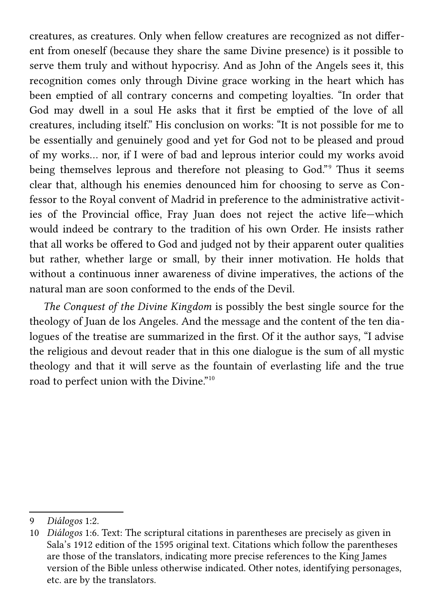creatures, as creatures. Only when fellow creatures are recognized as not different from oneself (because they share the same Divine presence) is it possible to serve them truly and without hypocrisy. And as John of the Angels sees it, this recognition comes only through Divine grace working in the heart which has been emptied of all contrary concerns and competing loyalties. "In order that God may dwell in a soul He asks that it first be emptied of the love of all creatures, including itself." His conclusion on works: "It is not possible for me to be essentially and genuinely good and yet for God not to be pleased and proud of my works… nor, if I were of bad and leprous interior could my works avoid being themselves leprous and therefore not pleasing to God."<sup>[9](#page-6-0)</sup> Thus it seems clear that, although his enemies denounced him for choosing to serve as Confessor to the Royal convent of Madrid in preference to the administrative activities of the Provincial office, Fray Juan does not reject the active life—which would indeed be contrary to the tradition of his own Order. He insists rather that all works be offered to God and judged not by their apparent outer qualities but rather, whether large or small, by their inner motivation. He holds that without a continuous inner awareness of divine imperatives, the actions of the natural man are soon conformed to the ends of the Devil.

 *The Conquest of the Divine Kingdom* is possibly the best single source for the theology of Juan de los Angeles. And the message and the content of the ten dialogues of the treatise are summarized in the first. Of it the author says, "I advise the religious and devout reader that in this one dialogue is the sum of all mystic theology and that it will serve as the fountain of everlasting life and the true road to perfect union with the Divine."[10](#page-6-1)

<span id="page-6-0"></span><sup>9</sup> *Diálogos* 1:2.

<span id="page-6-1"></span><sup>10</sup> *Diálogos* 1:6. Text: The scriptural citations in parentheses are precisely as given in Sala's 1912 edition of the 1595 original text. Citations which follow the parentheses are those of the translators, indicating more precise references to the King James version of the Bible unless otherwise indicated. Other notes, identifying personages, etc. are by the translators.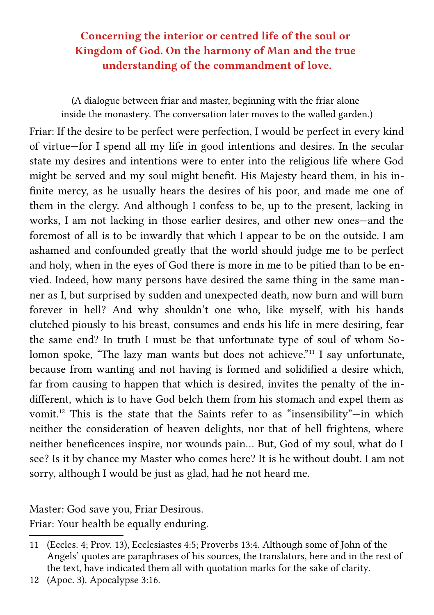# **Concerning the interior or centred life of the soul or Kingdom of God. On the harmony of Man and the true understanding of the commandment of love.**

(A dialogue between friar and master, beginning with the friar alone inside the monastery. The conversation later moves to the walled garden.)

Friar: If the desire to be perfect were perfection, I would be perfect in every kind of virtue—for I spend all my life in good intentions and desires. In the secular state my desires and intentions were to enter into the religious life where God might be served and my soul might benefit. His Majesty heard them, in his infinite mercy, as he usually hears the desires of his poor, and made me one of them in the clergy. And although I confess to be, up to the present, lacking in works, I am not lacking in those earlier desires, and other new ones—and the foremost of all is to be inwardly that which I appear to be on the outside. I am ashamed and confounded greatly that the world should judge me to be perfect and holy, when in the eyes of God there is more in me to be pitied than to be envied. Indeed, how many persons have desired the same thing in the same manner as I, but surprised by sudden and unexpected death, now burn and will burn forever in hell? And why shouldn't one who, like myself, with his hands clutched piously to his breast, consumes and ends his life in mere desiring, fear the same end? In truth I must be that unfortunate type of soul of whom So-lomon spoke, "The lazy man wants but does not achieve."<sup>[11](#page-7-0)</sup> I say unfortunate, because from wanting and not having is formed and solidified a desire which, far from causing to happen that which is desired, invites the penalty of the indifferent, which is to have God belch them from his stomach and expel them as vomit.[12](#page-7-1) This is the state that the Saints refer to as "insensibility"—in which neither the consideration of heaven delights, nor that of hell frightens, where neither beneficences inspire, nor wounds pain… But, God of my soul, what do I see? Is it by chance my Master who comes here? It is he without doubt. I am not sorry, although I would be just as glad, had he not heard me.

Master: God save you, Friar Desirous.

Friar: Your health be equally enduring.

<span id="page-7-0"></span><sup>11</sup> (Eccles. 4; Prov. 13), Ecclesiastes 4:5; Proverbs 13:4. Although some of John of the Angels' quotes are paraphrases of his sources, the translators, here and in the rest of the text, have indicated them all with quotation marks for the sake of clarity.

<span id="page-7-1"></span><sup>12</sup> (Apoc. 3). Apocalypse 3:16.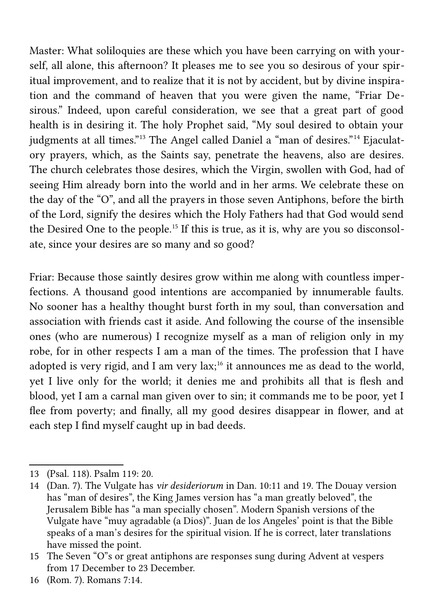Master: What soliloquies are these which you have been carrying on with yourself, all alone, this afternoon? It pleases me to see you so desirous of your spiritual improvement, and to realize that it is not by accident, but by divine inspiration and the command of heaven that you were given the name, "Friar Desirous." Indeed, upon careful consideration, we see that a great part of good health is in desiring it. The holy Prophet said, "My soul desired to obtain your judgments at all times."[13](#page-8-0) The Angel called Daniel a "man of desires."[14](#page-8-1) Ejaculatory prayers, which, as the Saints say, penetrate the heavens, also are desires. The church celebrates those desires, which the Virgin, swollen with God, had of seeing Him already born into the world and in her arms. We celebrate these on the day of the "O", and all the prayers in those seven Antiphons, before the birth of the Lord, signify the desires which the Holy Fathers had that God would send the Desired One to the people.[15](#page-8-2) If this is true, as it is, why are you so disconsolate, since your desires are so many and so good?

Friar: Because those saintly desires grow within me along with countless imperfections. A thousand good intentions are accompanied by innumerable faults. No sooner has a healthy thought burst forth in my soul, than conversation and association with friends cast it aside. And following the course of the insensible ones (who are numerous) I recognize myself as a man of religion only in my robe, for in other respects I am a man of the times. The profession that I have adopted is very rigid, and I am very  $lax$ <sup>[16](#page-8-3)</sup> it announces me as dead to the world, yet I live only for the world; it denies me and prohibits all that is flesh and blood, yet I am a carnal man given over to sin; it commands me to be poor, yet I flee from poverty; and finally, all my good desires disappear in flower, and at each step I find myself caught up in bad deeds.

<span id="page-8-0"></span><sup>13</sup> (Psal. 118). Psalm 119: 20.

<span id="page-8-1"></span><sup>14</sup> (Dan. 7). The Vulgate has *vir desideriorum* in Dan. 10:11 and 19. The Douay version has "man of desires", the King James version has "a man greatly beloved", the Jerusalem Bible has "a man specially chosen". Modern Spanish versions of the Vulgate have "muy agradable (a Dios)". Juan de los Angeles' point is that the Bible speaks of a man's desires for the spiritual vision. If he is correct, later translations have missed the point.

<span id="page-8-2"></span><sup>15</sup> The Seven "O"s or great antiphons are responses sung during Advent at vespers from 17 December to 23 December.

<span id="page-8-3"></span><sup>16</sup> (Rom. 7). Romans 7:14.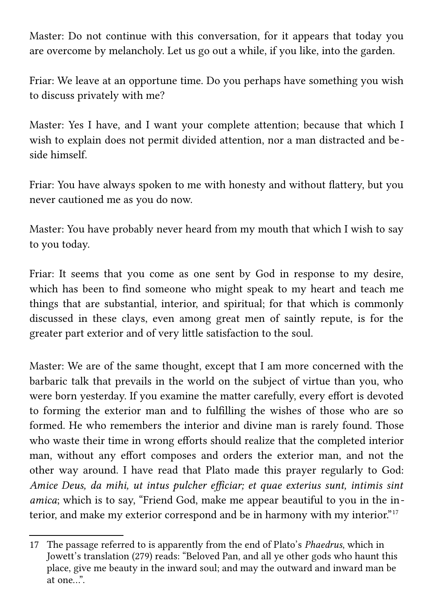Master: Do not continue with this conversation, for it appears that today you are overcome by melancholy. Let us go out a while, if you like, into the garden.

Friar: We leave at an opportune time. Do you perhaps have something you wish to discuss privately with me?

Master: Yes I have, and I want your complete attention; because that which I wish to explain does not permit divided attention, nor a man distracted and beside himself.

Friar: You have always spoken to me with honesty and without flattery, but you never cautioned me as you do now.

Master: You have probably never heard from my mouth that which I wish to say to you today.

Friar: It seems that you come as one sent by God in response to my desire, which has been to find someone who might speak to my heart and teach me things that are substantial, interior, and spiritual; for that which is commonly discussed in these clays, even among great men of saintly repute, is for the greater part exterior and of very little satisfaction to the soul.

Master: We are of the same thought, except that I am more concerned with the barbaric talk that prevails in the world on the subject of virtue than you, who were born yesterday. If you examine the matter carefully, every effort is devoted to forming the exterior man and to fulfilling the wishes of those who are so formed. He who remembers the interior and divine man is rarely found. Those who waste their time in wrong efforts should realize that the completed interior man, without any effort composes and orders the exterior man, and not the other way around. I have read that Plato made this prayer regularly to God: *Amice Deus, da mihi, ut intus pulcher efficiar; et quae exterius sunt, intimis sint amica*; which is to say, "Friend God, make me appear beautiful to you in the interior, and make my exterior correspond and be in harmony with my interior."[17](#page-9-0)

<span id="page-9-0"></span><sup>17</sup> The passage referred to is apparently from the end of Plato's *Phaedrus*, which in Jowett's translation (279) reads: "Beloved Pan, and all ye other gods who haunt this place, give me beauty in the inward soul; and may the outward and inward man be at one…".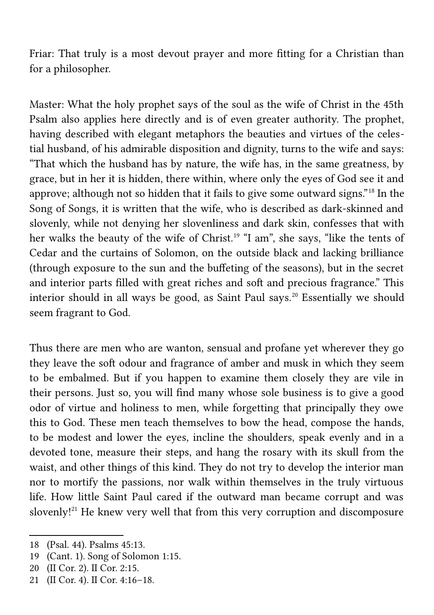Friar: That truly is a most devout prayer and more fitting for a Christian than for a philosopher.

Master: What the holy prophet says of the soul as the wife of Christ in the 45th Psalm also applies here directly and is of even greater authority. The prophet, having described with elegant metaphors the beauties and virtues of the celestial husband, of his admirable disposition and dignity, turns to the wife and says: "That which the husband has by nature, the wife has, in the same greatness, by grace, but in her it is hidden, there within, where only the eyes of God see it and approve; although not so hidden that it fails to give some outward signs."[18](#page-10-0) In the Song of Songs, it is written that the wife, who is described as dark-skinned and slovenly, while not denying her slovenliness and dark skin, confesses that with her walks the beauty of the wife of Christ.<sup>[19](#page-10-1)</sup> "I am", she says, "like the tents of Cedar and the curtains of Solomon, on the outside black and lacking brilliance (through exposure to the sun and the buffeting of the seasons), but in the secret and interior parts filled with great riches and soft and precious fragrance." This interior should in all ways be good, as Saint Paul says.<sup>[20](#page-10-2)</sup> Essentially we should seem fragrant to God.

Thus there are men who are wanton, sensual and profane yet wherever they go they leave the soft odour and fragrance of amber and musk in which they seem to be embalmed. But if you happen to examine them closely they are vile in their persons. Just so, you will find many whose sole business is to give a good odor of virtue and holiness to men, while forgetting that principally they owe this to God. These men teach themselves to bow the head, compose the hands, to be modest and lower the eyes, incline the shoulders, speak evenly and in a devoted tone, measure their steps, and hang the rosary with its skull from the waist, and other things of this kind. They do not try to develop the interior man nor to mortify the passions, nor walk within themselves in the truly virtuous life. How little Saint Paul cared if the outward man became corrupt and was slovenly!<sup>[21](#page-10-3)</sup> He knew very well that from this very corruption and discomposure

<span id="page-10-0"></span><sup>18</sup> (Psal. 44). Psalms 45:13.

<span id="page-10-1"></span><sup>19</sup> (Cant. 1). Song of Solomon 1:15.

<span id="page-10-2"></span><sup>20</sup> (II Cor. 2). II Cor. 2:15.

<span id="page-10-3"></span><sup>21</sup> (II Cor. 4). II Cor. 4:16–18.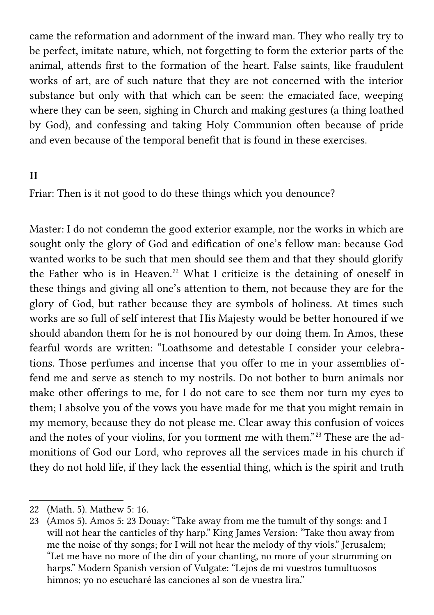came the reformation and adornment of the inward man. They who really try to be perfect, imitate nature, which, not forgetting to form the exterior parts of the animal, attends first to the formation of the heart. False saints, like fraudulent works of art, are of such nature that they are not concerned with the interior substance but only with that which can be seen: the emaciated face, weeping where they can be seen, sighing in Church and making gestures (a thing loathed by God), and confessing and taking Holy Communion often because of pride and even because of the temporal benefit that is found in these exercises.

## **II**

Friar: Then is it not good to do these things which you denounce?

Master: I do not condemn the good exterior example, nor the works in which are sought only the glory of God and edification of one's fellow man: because God wanted works to be such that men should see them and that they should glorify the Father who is in Heaven.<sup>[22](#page-11-0)</sup> What I criticize is the detaining of oneself in these things and giving all one's attention to them, not because they are for the glory of God, but rather because they are symbols of holiness. At times such works are so full of self interest that His Majesty would be better honoured if we should abandon them for he is not honoured by our doing them. In Amos, these fearful words are written: "Loathsome and detestable I consider your celebrations. Those perfumes and incense that you offer to me in your assemblies offend me and serve as stench to my nostrils. Do not bother to burn animals nor make other offerings to me, for I do not care to see them nor turn my eyes to them; I absolve you of the vows you have made for me that you might remain in my memory, because they do not please me. Clear away this confusion of voices and the notes of your violins, for you torment me with them."<sup>[23](#page-11-1)</sup> These are the admonitions of God our Lord, who reproves all the services made in his church if they do not hold life, if they lack the essential thing, which is the spirit and truth

<span id="page-11-0"></span><sup>22</sup> (Math. 5). Mathew 5: 16.

<span id="page-11-1"></span><sup>23</sup> (Amos 5). Amos 5: 23 Douay: "Take away from me the tumult of thy songs: and I will not hear the canticles of thy harp." King James Version: "Take thou away from me the noise of thy songs; for I will not hear the melody of thy viols." Jerusalem; "Let me have no more of the din of your chanting, no more of your strumming on harps." Modern Spanish version of Vulgate: "Lejos de mi vuestros tumultuosos himnos; yo no escucharé las canciones al son de vuestra lira."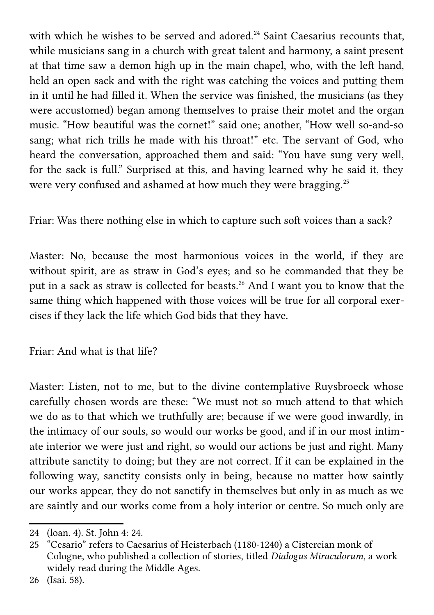with which he wishes to be served and adored.<sup>[24](#page-12-0)</sup> Saint Caesarius recounts that, while musicians sang in a church with great talent and harmony, a saint present at that time saw a demon high up in the main chapel, who, with the left hand, held an open sack and with the right was catching the voices and putting them in it until he had filled it. When the service was finished, the musicians (as they were accustomed) began among themselves to praise their motet and the organ music. "How beautiful was the cornet!" said one; another, "How well so-and-so sang; what rich trills he made with his throat!" etc. The servant of God, who heard the conversation, approached them and said: "You have sung very well, for the sack is full." Surprised at this, and having learned why he said it, they were very confused and ashamed at how much they were bragging.<sup>[25](#page-12-1)</sup>

Friar: Was there nothing else in which to capture such soft voices than a sack?

Master: No, because the most harmonious voices in the world, if they are without spirit, are as straw in God's eyes; and so he commanded that they be put in a sack as straw is collected for beasts.[26](#page-12-2) And I want you to know that the same thing which happened with those voices will be true for all corporal exercises if they lack the life which God bids that they have.

Friar: And what is that life?

Master: Listen, not to me, but to the divine contemplative Ruysbroeck whose carefully chosen words are these: "We must not so much attend to that which we do as to that which we truthfully are; because if we were good inwardly, in the intimacy of our souls, so would our works be good, and if in our most intimate interior we were just and right, so would our actions be just and right. Many attribute sanctity to doing; but they are not correct. If it can be explained in the following way, sanctity consists only in being, because no matter how saintly our works appear, they do not sanctify in themselves but only in as much as we are saintly and our works come from a holy interior or centre. So much only are

<span id="page-12-0"></span><sup>24</sup> (loan. 4). St. John 4: 24.

<span id="page-12-1"></span><sup>25</sup> "Cesario" refers to Caesarius of Heisterbach (1180-1240) a Cistercian monk of Cologne, who published a collection of stories, titled *Dialogus Miraculorum*, a work widely read during the Middle Ages.

<span id="page-12-2"></span><sup>26</sup> (Isai. 58).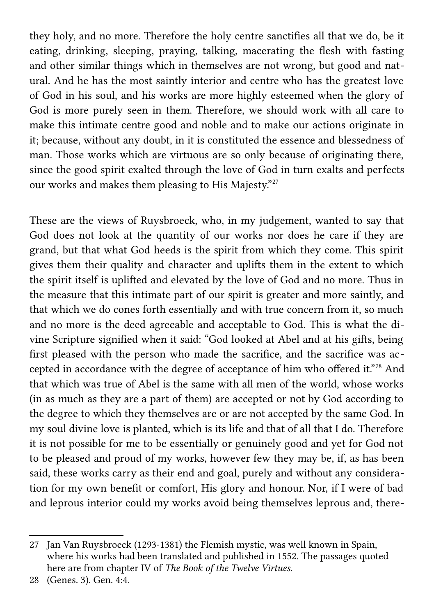they holy, and no more. Therefore the holy centre sanctifies all that we do, be it eating, drinking, sleeping, praying, talking, macerating the flesh with fasting and other similar things which in themselves are not wrong, but good and natural. And he has the most saintly interior and centre who has the greatest love of God in his soul, and his works are more highly esteemed when the glory of God is more purely seen in them. Therefore, we should work with all care to make this intimate centre good and noble and to make our actions originate in it; because, without any doubt, in it is constituted the essence and blessedness of man. Those works which are virtuous are so only because of originating there, since the good spirit exalted through the love of God in turn exalts and perfects our works and makes them pleasing to His Majesty."[27](#page-13-0)

These are the views of Ruysbroeck, who, in my judgement, wanted to say that God does not look at the quantity of our works nor does he care if they are grand, but that what God heeds is the spirit from which they come. This spirit gives them their quality and character and uplifts them in the extent to which the spirit itself is uplifted and elevated by the love of God and no more. Thus in the measure that this intimate part of our spirit is greater and more saintly, and that which we do cones forth essentially and with true concern from it, so much and no more is the deed agreeable and acceptable to God. This is what the divine Scripture signified when it said: "God looked at Abel and at his gifts, being first pleased with the person who made the sacrifice, and the sacrifice was accepted in accordance with the degree of acceptance of him who offered it."[28](#page-13-1) And that which was true of Abel is the same with all men of the world, whose works (in as much as they are a part of them) are accepted or not by God according to the degree to which they themselves are or are not accepted by the same God. In my soul divine love is planted, which is its life and that of all that I do. Therefore it is not possible for me to be essentially or genuinely good and yet for God not to be pleased and proud of my works, however few they may be, if, as has been said, these works carry as their end and goal, purely and without any consideration for my own benefit or comfort, His glory and honour. Nor, if I were of bad and leprous interior could my works avoid being themselves leprous and, there-

<span id="page-13-0"></span><sup>27</sup> Jan Van Ruysbroeck (1293-1381) the Flemish mystic, was well known in Spain, where his works had been translated and published in 1552. The passages quoted here are from chapter IV of *The Book of the Twelve Virtues*.

<span id="page-13-1"></span><sup>28</sup> (Genes. 3). Gen. 4:4.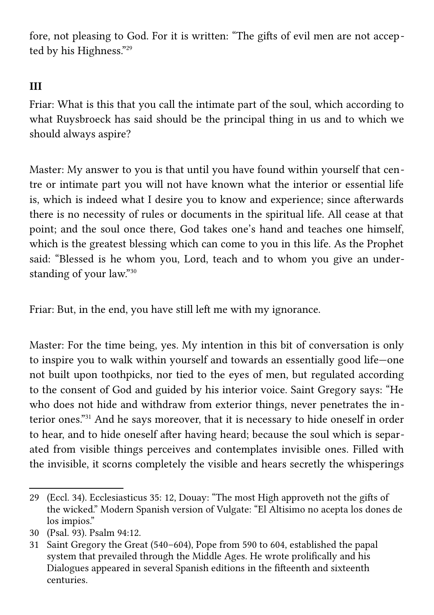fore, not pleasing to God. For it is written: "The gifts of evil men are not accepted by his Highness."[29](#page-14-0)

## **III**

Friar: What is this that you call the intimate part of the soul, which according to what Ruysbroeck has said should be the principal thing in us and to which we should always aspire?

Master: My answer to you is that until you have found within yourself that centre or intimate part you will not have known what the interior or essential life is, which is indeed what I desire you to know and experience; since afterwards there is no necessity of rules or documents in the spiritual life. All cease at that point; and the soul once there, God takes one's hand and teaches one himself, which is the greatest blessing which can come to you in this life. As the Prophet said: "Blessed is he whom you, Lord, teach and to whom you give an understanding of your law."[30](#page-14-1)

Friar: But, in the end, you have still left me with my ignorance.

Master: For the time being, yes. My intention in this bit of conversation is only to inspire you to walk within yourself and towards an essentially good life—one not built upon toothpicks, nor tied to the eyes of men, but regulated according to the consent of God and guided by his interior voice. Saint Gregory says: "He who does not hide and withdraw from exterior things, never penetrates the interior ones."[31](#page-14-2) And he says moreover, that it is necessary to hide oneself in order to hear, and to hide oneself after having heard; because the soul which is separated from visible things perceives and contemplates invisible ones. Filled with the invisible, it scorns completely the visible and hears secretly the whisperings

<span id="page-14-0"></span><sup>29</sup> (Eccl. 34). Ecclesiasticus 35: 12, Douay: "The most High approveth not the gifts of the wicked." Modern Spanish version of Vulgate: "El Altisimo no acepta los dones de los impios."

<span id="page-14-1"></span><sup>30</sup> (Psal. 93). Psalm 94:12.

<span id="page-14-2"></span><sup>31</sup> Saint Gregory the Great (540–604), Pope from 590 to 604, established the papal system that prevailed through the Middle Ages. He wrote prolifically and his Dialogues appeared in several Spanish editions in the fifteenth and sixteenth centuries.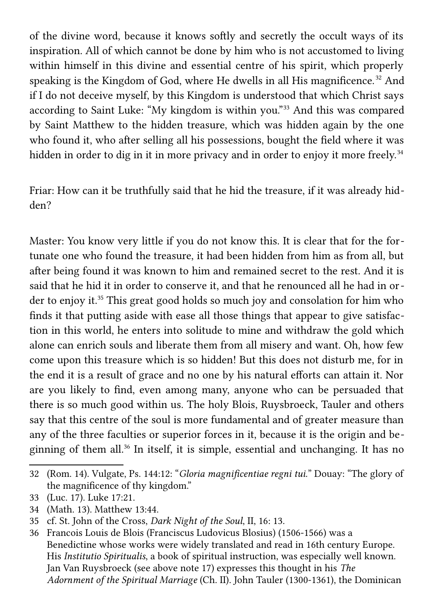of the divine word, because it knows softly and secretly the occult ways of its inspiration. All of which cannot be done by him who is not accustomed to living within himself in this divine and essential centre of his spirit, which properly speaking is the Kingdom of God, where He dwells in all His magnificence.<sup>[32](#page-15-0)</sup> And if I do not deceive myself, by this Kingdom is understood that which Christ says according to Saint Luke: "My kingdom is within you."[33](#page-15-1) And this was compared by Saint Matthew to the hidden treasure, which was hidden again by the one who found it, who after selling all his possessions, bought the field where it was hidden in order to dig in it in more privacy and in order to enjoy it more freely.<sup>[34](#page-15-2)</sup>

Friar: How can it be truthfully said that he hid the treasure, if it was already hidden?

Master: You know very little if you do not know this. It is clear that for the fortunate one who found the treasure, it had been hidden from him as from all, but after being found it was known to him and remained secret to the rest. And it is said that he hid it in order to conserve it, and that he renounced all he had in or-der to enjoy it.<sup>[35](#page-15-3)</sup> This great good holds so much joy and consolation for him who finds it that putting aside with ease all those things that appear to give satisfaction in this world, he enters into solitude to mine and withdraw the gold which alone can enrich souls and liberate them from all misery and want. Oh, how few come upon this treasure which is so hidden! But this does not disturb me, for in the end it is a result of grace and no one by his natural efforts can attain it. Nor are you likely to find, even among many, anyone who can be persuaded that there is so much good within us. The holy Blois, Ruysbroeck, Tauler and others say that this centre of the soul is more fundamental and of greater measure than any of the three faculties or superior forces in it, because it is the origin and beginning of them all.[36](#page-15-4) In itself, it is simple, essential and unchanging. It has no

<span id="page-15-0"></span><sup>32</sup> (Rom. 14). Vulgate, Ps. 144:12: "*Gloria magnificentiae regni tui.*" Douay: "The glory of the magnificence of thy kingdom."

<span id="page-15-1"></span><sup>33</sup> (Luc. 17). Luke 17:21.

<span id="page-15-2"></span><sup>34</sup> (Math. 13). Matthew 13:44.

<span id="page-15-3"></span><sup>35</sup> cf. St. John of the Cross, *Dark Night of the Soul*, II, 16: 13.

<span id="page-15-4"></span><sup>36</sup> Francois Louis de Blois (Franciscus Ludovicus Blosius) (1506-1566) was a Benedictine whose works were widely translated and read in 16th century Europe. His *Institutio Spiritualis*, a book of spiritual instruction, was especially well known. Jan Van Ruysbroeck (see above note 17) expresses this thought in his *The Adornment of the Spiritual Marriage* (Ch. II). John Tauler (1300-1361), the Dominican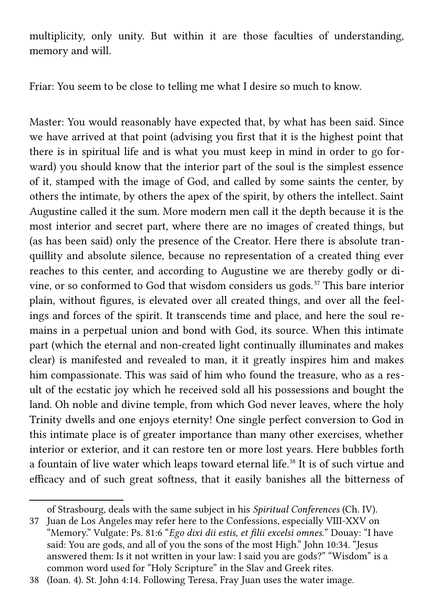multiplicity, only unity. But within it are those faculties of understanding, memory and will.

Friar: You seem to be close to telling me what I desire so much to know.

Master: You would reasonably have expected that, by what has been said. Since we have arrived at that point (advising you first that it is the highest point that there is in spiritual life and is what you must keep in mind in order to go forward) you should know that the interior part of the soul is the simplest essence of it, stamped with the image of God, and called by some saints the center, by others the intimate, by others the apex of the spirit, by others the intellect. Saint Augustine called it the sum. More modern men call it the depth because it is the most interior and secret part, where there are no images of created things, but (as has been said) only the presence of the Creator. Here there is absolute tranquillity and absolute silence, because no representation of a created thing ever reaches to this center, and according to Augustine we are thereby godly or divine, or so conformed to God that wisdom considers us gods.[37](#page-16-0) This bare interior plain, without figures, is elevated over all created things, and over all the feelings and forces of the spirit. It transcends time and place, and here the soul remains in a perpetual union and bond with God, its source. When this intimate part (which the eternal and non-created light continually illuminates and makes clear) is manifested and revealed to man, it it greatly inspires him and makes him compassionate. This was said of him who found the treasure, who as a result of the ecstatic joy which he received sold all his possessions and bought the land. Oh noble and divine temple, from which God never leaves, where the holy Trinity dwells and one enjoys eternity! One single perfect conversion to God in this intimate place is of greater importance than many other exercises, whether interior or exterior, and it can restore ten or more lost years. Here bubbles forth a fountain of live water which leaps toward eternal life.<sup>[38](#page-16-1)</sup> It is of such virtue and efficacy and of such great softness, that it easily banishes all the bitterness of

<span id="page-16-0"></span>of Strasbourg, deals with the same subject in his *Spiritual Conferences* (Ch. IV).

<sup>37</sup> Juan de Los Angeles may refer here to the Confessions, especially VIII-XXV on "Memory." Vulgate: Ps. 81:6 "*Ego dixi dii estis, et filii excelsi omnes.*" Douay: "I have said: You are gods, and all of you the sons of the most High." John 10:34. "Jesus answered them: Is it not written in your law: I said you are gods?" "Wisdom" is a common word used for "Holy Scripture" in the Slav and Greek rites.

<span id="page-16-1"></span><sup>38</sup> (Ioan. 4). St. John 4:14. Following Teresa, Fray Juan uses the water image.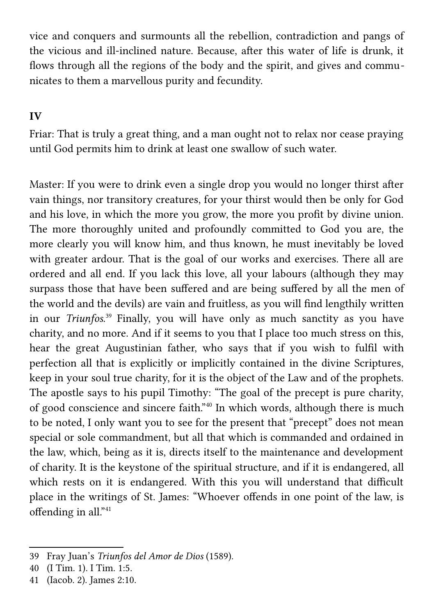vice and conquers and surmounts all the rebellion, contradiction and pangs of the vicious and ill-inclined nature. Because, after this water of life is drunk, it flows through all the regions of the body and the spirit, and gives and communicates to them a marvellous purity and fecundity.

## **IV**

Friar: That is truly a great thing, and a man ought not to relax nor cease praying until God permits him to drink at least one swallow of such water.

Master: If you were to drink even a single drop you would no longer thirst after vain things, nor transitory creatures, for your thirst would then be only for God and his love, in which the more you grow, the more you profit by divine union. The more thoroughly united and profoundly committed to God you are, the more clearly you will know him, and thus known, he must inevitably be loved with greater ardour. That is the goal of our works and exercises. There all are ordered and all end. If you lack this love, all your labours (although they may surpass those that have been suffered and are being suffered by all the men of the world and the devils) are vain and fruitless, as you will find lengthily written in our *Triunfos*. [39](#page-17-0) Finally, you will have only as much sanctity as you have charity, and no more. And if it seems to you that I place too much stress on this, hear the great Augustinian father, who says that if you wish to fulfil with perfection all that is explicitly or implicitly contained in the divine Scriptures, keep in your soul true charity, for it is the object of the Law and of the prophets. The apostle says to his pupil Timothy: "The goal of the precept is pure charity, of good conscience and sincere faith."[40](#page-17-1) In which words, although there is much to be noted, I only want you to see for the present that "precept" does not mean special or sole commandment, but all that which is commanded and ordained in the law, which, being as it is, directs itself to the maintenance and development of charity. It is the keystone of the spiritual structure, and if it is endangered, all which rests on it is endangered. With this you will understand that difficult place in the writings of St. James: "Whoever offends in one point of the law, is offending in all."[41](#page-17-2)

<span id="page-17-0"></span><sup>39</sup> Fray Juan's *Triunfos del Amor de Dios* (1589).

<span id="page-17-1"></span><sup>40</sup> (I Tim. 1). I Tim. 1:5.

<span id="page-17-2"></span><sup>41</sup> (Iacob. 2). James 2:10.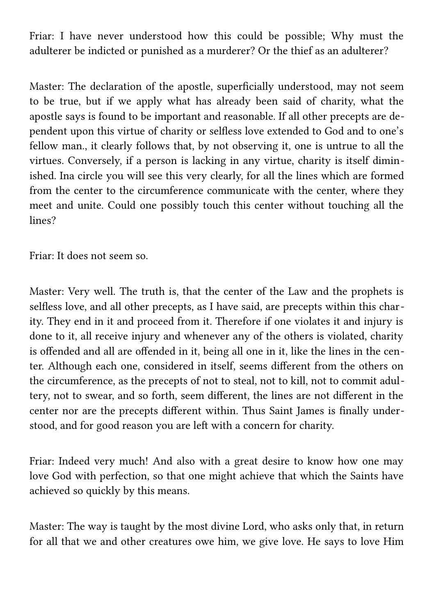Friar: I have never understood how this could be possible; Why must the adulterer be indicted or punished as a murderer? Or the thief as an adulterer?

Master: The declaration of the apostle, superficially understood, may not seem to be true, but if we apply what has already been said of charity, what the apostle says is found to be important and reasonable. If all other precepts are dependent upon this virtue of charity or selfless love extended to God and to one's fellow man., it clearly follows that, by not observing it, one is untrue to all the virtues. Conversely, if a person is lacking in any virtue, charity is itself diminished. Ina circle you will see this very clearly, for all the lines which are formed from the center to the circumference communicate with the center, where they meet and unite. Could one possibly touch this center without touching all the lines?

Friar: It does not seem so.

Master: Very well. The truth is, that the center of the Law and the prophets is selfless love, and all other precepts, as I have said, are precepts within this charity. They end in it and proceed from it. Therefore if one violates it and injury is done to it, all receive injury and whenever any of the others is violated, charity is offended and all are offended in it, being all one in it, like the lines in the center. Although each one, considered in itself, seems different from the others on the circumference, as the precepts of not to steal, not to kill, not to commit adultery, not to swear, and so forth, seem different, the lines are not different in the center nor are the precepts different within. Thus Saint James is finally understood, and for good reason you are left with a concern for charity.

Friar: Indeed very much! And also with a great desire to know how one may love God with perfection, so that one might achieve that which the Saints have achieved so quickly by this means.

Master: The way is taught by the most divine Lord, who asks only that, in return for all that we and other creatures owe him, we give love. He says to love Him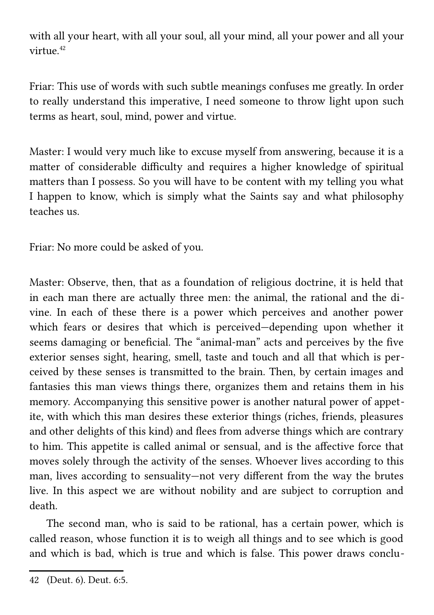with all your heart, with all your soul, all your mind, all your power and all your virtue $42$ 

Friar: This use of words with such subtle meanings confuses me greatly. In order to really understand this imperative, I need someone to throw light upon such terms as heart, soul, mind, power and virtue.

Master: I would very much like to excuse myself from answering, because it is a matter of considerable difficulty and requires a higher knowledge of spiritual matters than I possess. So you will have to be content with my telling you what I happen to know, which is simply what the Saints say and what philosophy teaches us.

Friar: No more could be asked of you.

Master: Observe, then, that as a foundation of religious doctrine, it is held that in each man there are actually three men: the animal, the rational and the divine. In each of these there is a power which perceives and another power which fears or desires that which is perceived—depending upon whether it seems damaging or beneficial. The "animal-man" acts and perceives by the five exterior senses sight, hearing, smell, taste and touch and all that which is perceived by these senses is transmitted to the brain. Then, by certain images and fantasies this man views things there, organizes them and retains them in his memory. Accompanying this sensitive power is another natural power of appetite, with which this man desires these exterior things (riches, friends, pleasures and other delights of this kind) and flees from adverse things which are contrary to him. This appetite is called animal or sensual, and is the affective force that moves solely through the activity of the senses. Whoever lives according to this man, lives according to sensuality—not very different from the way the brutes live. In this aspect we are without nobility and are subject to corruption and death.

 The second man, who is said to be rational, has a certain power, which is called reason, whose function it is to weigh all things and to see which is good and which is bad, which is true and which is false. This power draws conclu-

<span id="page-19-0"></span><sup>42</sup> (Deut. 6). Deut. 6:5.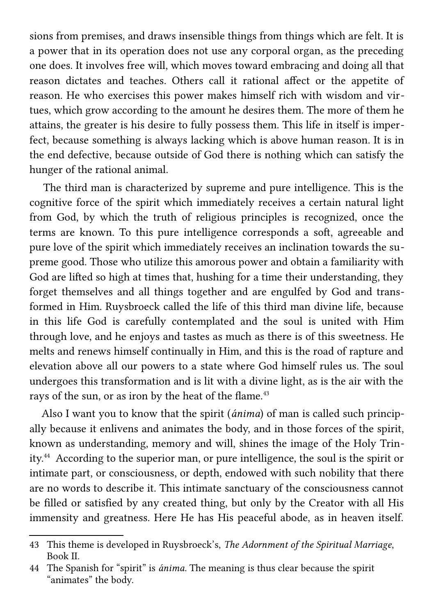sions from premises, and draws insensible things from things which are felt. It is a power that in its operation does not use any corporal organ, as the preceding one does. It involves free will, which moves toward embracing and doing all that reason dictates and teaches. Others call it rational affect or the appetite of reason. He who exercises this power makes himself rich with wisdom and virtues, which grow according to the amount he desires them. The more of them he attains, the greater is his desire to fully possess them. This life in itself is imperfect, because something is always lacking which is above human reason. It is in the end defective, because outside of God there is nothing which can satisfy the hunger of the rational animal.

 The third man is characterized by supreme and pure intelligence. This is the cognitive force of the spirit which immediately receives a certain natural light from God, by which the truth of religious principles is recognized, once the terms are known. To this pure intelligence corresponds a soft, agreeable and pure love of the spirit which immediately receives an inclination towards the supreme good. Those who utilize this amorous power and obtain a familiarity with God are lifted so high at times that, hushing for a time their understanding, they forget themselves and all things together and are engulfed by God and transformed in Him. Ruysbroeck called the life of this third man divine life, because in this life God is carefully contemplated and the soul is united with Him through love, and he enjoys and tastes as much as there is of this sweetness. He melts and renews himself continually in Him, and this is the road of rapture and elevation above all our powers to a state where God himself rules us. The soul undergoes this transformation and is lit with a divine light, as is the air with the rays of the sun, or as iron by the heat of the flame.<sup>[43](#page-20-0)</sup>

 Also I want you to know that the spirit (*ánima*) of man is called such principally because it enlivens and animates the body, and in those forces of the spirit, known as understanding, memory and will, shines the image of the Holy Trinity.[44](#page-20-1) According to the superior man, or pure intelligence, the soul is the spirit or intimate part, or consciousness, or depth, endowed with such nobility that there are no words to describe it. This intimate sanctuary of the consciousness cannot be filled or satisfied by any created thing, but only by the Creator with all His immensity and greatness. Here He has His peaceful abode, as in heaven itself.

<span id="page-20-0"></span><sup>43</sup> This theme is developed in Ruysbroeck's, *The Adornment of the Spiritual Marriage*, Book II.

<span id="page-20-1"></span><sup>44</sup> The Spanish for "spirit" is *ánima*. The meaning is thus clear because the spirit "animates" the body.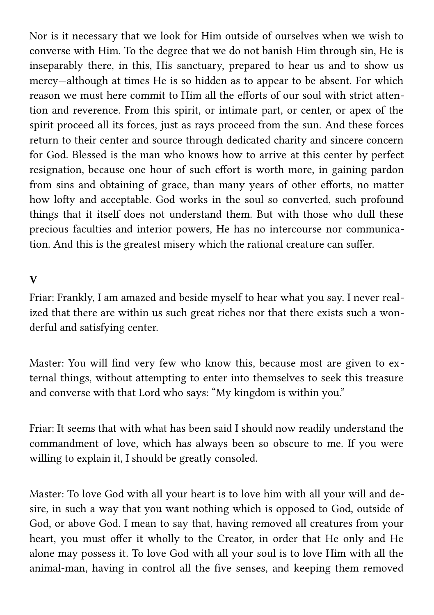Nor is it necessary that we look for Him outside of ourselves when we wish to converse with Him. To the degree that we do not banish Him through sin, He is inseparably there, in this, His sanctuary, prepared to hear us and to show us mercy—although at times He is so hidden as to appear to be absent. For which reason we must here commit to Him all the efforts of our soul with strict attention and reverence. From this spirit, or intimate part, or center, or apex of the spirit proceed all its forces, just as rays proceed from the sun. And these forces return to their center and source through dedicated charity and sincere concern for God. Blessed is the man who knows how to arrive at this center by perfect resignation, because one hour of such effort is worth more, in gaining pardon from sins and obtaining of grace, than many years of other efforts, no matter how lofty and acceptable. God works in the soul so converted, such profound things that it itself does not understand them. But with those who dull these precious faculties and interior powers, He has no intercourse nor communication. And this is the greatest misery which the rational creature can suffer.

#### **V**

Friar: Frankly, I am amazed and beside myself to hear what you say. I never realized that there are within us such great riches nor that there exists such a wonderful and satisfying center.

Master: You will find very few who know this, because most are given to external things, without attempting to enter into themselves to seek this treasure and converse with that Lord who says: "My kingdom is within you."

Friar: It seems that with what has been said I should now readily understand the commandment of love, which has always been so obscure to me. If you were willing to explain it, I should be greatly consoled.

Master: To love God with all your heart is to love him with all your will and desire, in such a way that you want nothing which is opposed to God, outside of God, or above God. I mean to say that, having removed all creatures from your heart, you must offer it wholly to the Creator, in order that He only and He alone may possess it. To love God with all your soul is to love Him with all the animal-man, having in control all the five senses, and keeping them removed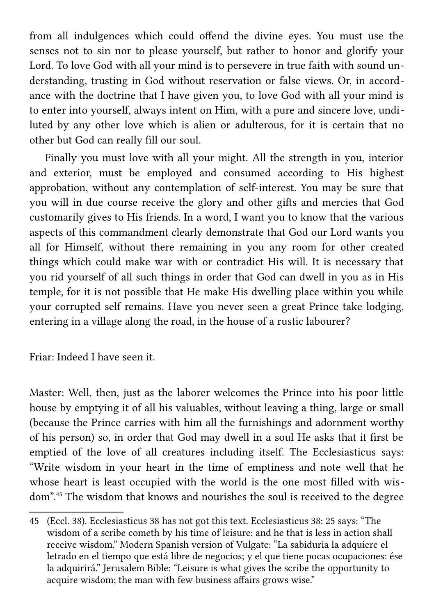from all indulgences which could offend the divine eyes. You must use the senses not to sin nor to please yourself, but rather to honor and glorify your Lord. To love God with all your mind is to persevere in true faith with sound understanding, trusting in God without reservation or false views. Or, in accordance with the doctrine that I have given you, to love God with all your mind is to enter into yourself, always intent on Him, with a pure and sincere love, undiluted by any other love which is alien or adulterous, for it is certain that no other but God can really fill our soul.

 Finally you must love with all your might. All the strength in you, interior and exterior, must be employed and consumed according to His highest approbation, without any contemplation of self-interest. You may be sure that you will in due course receive the glory and other gifts and mercies that God customarily gives to His friends. In a word, I want you to know that the various aspects of this commandment clearly demonstrate that God our Lord wants you all for Himself, without there remaining in you any room for other created things which could make war with or contradict His will. It is necessary that you rid yourself of all such things in order that God can dwell in you as in His temple, for it is not possible that He make His dwelling place within you while your corrupted self remains. Have you never seen a great Prince take lodging, entering in a village along the road, in the house of a rustic labourer?

Friar: Indeed I have seen it.

Master: Well, then, just as the laborer welcomes the Prince into his poor little house by emptying it of all his valuables, without leaving a thing, large or small (because the Prince carries with him all the furnishings and adornment worthy of his person) so, in order that God may dwell in a soul He asks that it first be emptied of the love of all creatures including itself. The Ecclesiasticus says: "Write wisdom in your heart in the time of emptiness and note well that he whose heart is least occupied with the world is the one most filled with wisdom".[45](#page-22-0) The wisdom that knows and nourishes the soul is received to the degree

<span id="page-22-0"></span><sup>45</sup> (Eccl. 38). Ecclesiasticus 38 has not got this text. Ecclesiasticus 38: 25 says: "The wisdom of a scribe cometh by his time of leisure: and he that is less in action shall receive wisdom." Modern Spanish version of Vulgate: "La sabiduria la adquiere el letrado en el tiempo que está libre de negocios; y el que tiene pocas ocupaciones: ése la adquirirá." Jerusalem Bible: "Leisure is what gives the scribe the opportunity to acquire wisdom; the man with few business affairs grows wise."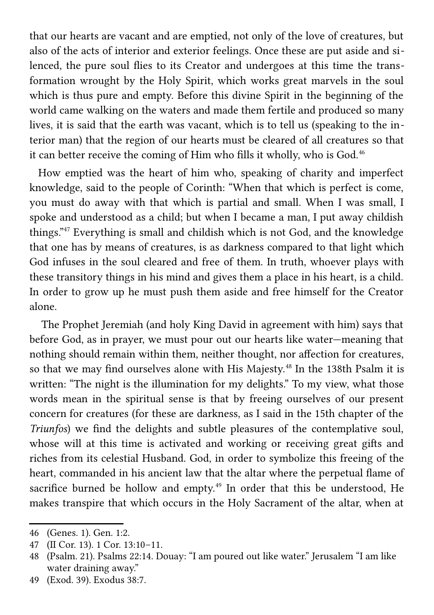that our hearts are vacant and are emptied, not only of the love of creatures, but also of the acts of interior and exterior feelings. Once these are put aside and silenced, the pure soul flies to its Creator and undergoes at this time the transformation wrought by the Holy Spirit, which works great marvels in the soul which is thus pure and empty. Before this divine Spirit in the beginning of the world came walking on the waters and made them fertile and produced so many lives, it is said that the earth was vacant, which is to tell us (speaking to the interior man) that the region of our hearts must be cleared of all creatures so that it can better receive the coming of Him who fills it wholly, who is God.<sup>[46](#page-23-0)</sup>

 How emptied was the heart of him who, speaking of charity and imperfect knowledge, said to the people of Corinth: "When that which is perfect is come, you must do away with that which is partial and small. When I was small, I spoke and understood as a child; but when I became a man, I put away childish things."[47](#page-23-1) Everything is small and childish which is not God, and the knowledge that one has by means of creatures, is as darkness compared to that light which God infuses in the soul cleared and free of them. In truth, whoever plays with these transitory things in his mind and gives them a place in his heart, is a child. In order to grow up he must push them aside and free himself for the Creator alone.

 The Prophet Jeremiah (and holy King David in agreement with him) says that before God, as in prayer, we must pour out our hearts like water—meaning that nothing should remain within them, neither thought, nor affection for creatures, so that we may find ourselves alone with His Majesty.<sup>[48](#page-23-2)</sup> In the 138th Psalm it is written: "The night is the illumination for my delights." To my view, what those words mean in the spiritual sense is that by freeing ourselves of our present concern for creatures (for these are darkness, as I said in the 15th chapter of the *Triunfos*) we find the delights and subtle pleasures of the contemplative soul, whose will at this time is activated and working or receiving great gifts and riches from its celestial Husband. God, in order to symbolize this freeing of the heart, commanded in his ancient law that the altar where the perpetual flame of sacrifice burned be hollow and empty.<sup>[49](#page-23-3)</sup> In order that this be understood, He makes transpire that which occurs in the Holy Sacrament of the altar, when at

<span id="page-23-0"></span><sup>46</sup> (Genes. 1). Gen. 1:2.

<span id="page-23-1"></span><sup>47</sup> (II Cor. 13). 1 Cor. 13:10–11.

<span id="page-23-2"></span><sup>48</sup> (Psalm. 21). Psalms 22:14. Douay: "I am poured out like water." Jerusalem "I am like water draining away."

<span id="page-23-3"></span><sup>49</sup> (Exod. 39). Exodus 38:7.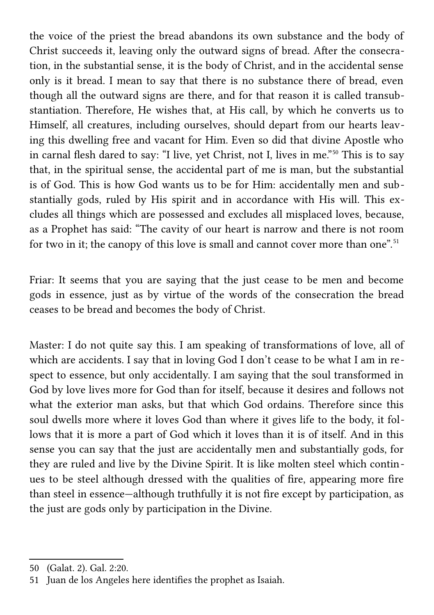the voice of the priest the bread abandons its own substance and the body of Christ succeeds it, leaving only the outward signs of bread. After the consecration, in the substantial sense, it is the body of Christ, and in the accidental sense only is it bread. I mean to say that there is no substance there of bread, even though all the outward signs are there, and for that reason it is called transubstantiation. Therefore, He wishes that, at His call, by which he converts us to Himself, all creatures, including ourselves, should depart from our hearts leaving this dwelling free and vacant for Him. Even so did that divine Apostle who in carnal flesh dared to say: "I live, yet Christ, not I, lives in me."[50](#page-24-0) This is to say that, in the spiritual sense, the accidental part of me is man, but the substantial is of God. This is how God wants us to be for Him: accidentally men and substantially gods, ruled by His spirit and in accordance with His will. This excludes all things which are possessed and excludes all misplaced loves, because, as a Prophet has said: "The cavity of our heart is narrow and there is not room for two in it; the canopy of this love is small and cannot cover more than one".<sup>[51](#page-24-1)</sup>

Friar: It seems that you are saying that the just cease to be men and become gods in essence, just as by virtue of the words of the consecration the bread ceases to be bread and becomes the body of Christ.

Master: I do not quite say this. I am speaking of transformations of love, all of which are accidents. I say that in loving God I don't cease to be what I am in respect to essence, but only accidentally. I am saying that the soul transformed in God by love lives more for God than for itself, because it desires and follows not what the exterior man asks, but that which God ordains. Therefore since this soul dwells more where it loves God than where it gives life to the body, it follows that it is more a part of God which it loves than it is of itself. And in this sense you can say that the just are accidentally men and substantially gods, for they are ruled and live by the Divine Spirit. It is like molten steel which continues to be steel although dressed with the qualities of fire, appearing more fire than steel in essence—although truthfully it is not fire except by participation, as the just are gods only by participation in the Divine.

<span id="page-24-0"></span><sup>50</sup> (Galat. 2). Gal. 2:20.

<span id="page-24-1"></span><sup>51</sup> Juan de los Angeles here identifies the prophet as Isaiah.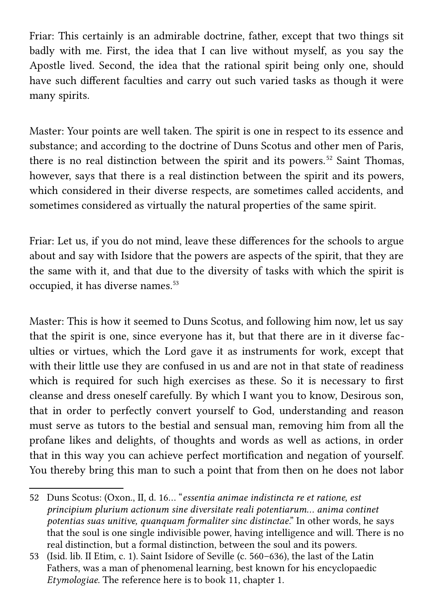Friar: This certainly is an admirable doctrine, father, except that two things sit badly with me. First, the idea that I can live without myself, as you say the Apostle lived. Second, the idea that the rational spirit being only one, should have such different faculties and carry out such varied tasks as though it were many spirits.

Master: Your points are well taken. The spirit is one in respect to its essence and substance; and according to the doctrine of Duns Scotus and other men of Paris, there is no real distinction between the spirit and its powers. [52](#page-25-0) Saint Thomas, however, says that there is a real distinction between the spirit and its powers, which considered in their diverse respects, are sometimes called accidents, and sometimes considered as virtually the natural properties of the same spirit.

Friar: Let us, if you do not mind, leave these differences for the schools to argue about and say with Isidore that the powers are aspects of the spirit, that they are the same with it, and that due to the diversity of tasks with which the spirit is occupied, it has diverse names.<sup>[53](#page-25-1)</sup>

Master: This is how it seemed to Duns Scotus, and following him now, let us say that the spirit is one, since everyone has it, but that there are in it diverse faculties or virtues, which the Lord gave it as instruments for work, except that with their little use they are confused in us and are not in that state of readiness which is required for such high exercises as these. So it is necessary to first cleanse and dress oneself carefully. By which I want you to know, Desirous son, that in order to perfectly convert yourself to God, understanding and reason must serve as tutors to the bestial and sensual man, removing him from all the profane likes and delights, of thoughts and words as well as actions, in order that in this way you can achieve perfect mortification and negation of yourself. You thereby bring this man to such a point that from then on he does not labor

<span id="page-25-0"></span><sup>52</sup> Duns Scotus: (Oxon., II, d. 16… "*essentia animae indistincta re et ratione, est principium plurium actionum sine diversitate reali potentiarum… anima continet potentias suas unitive, quanquam formaliter sinc distinctae*." In other words, he says that the soul is one single indivisible power, having intelligence and will. There is no real distinction, but a formal distinction, between the soul and its powers.

<span id="page-25-1"></span><sup>53</sup> (Isid. lib. II Etim, c. 1). Saint Isidore of Seville (c. 560–636), the last of the Latin Fathers, was a man of phenomenal learning, best known for his encyclopaedic *Etymologiae*. The reference here is to book 11, chapter 1.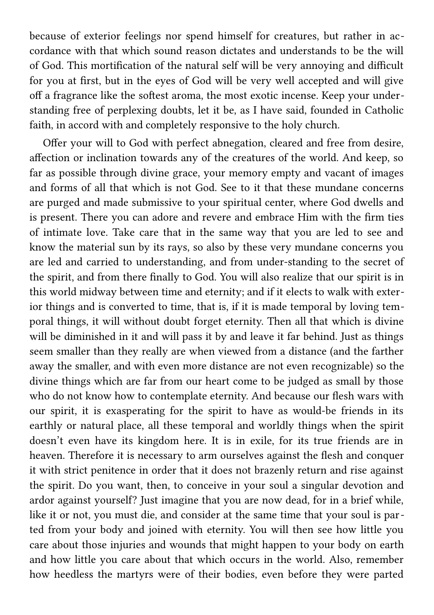because of exterior feelings nor spend himself for creatures, but rather in accordance with that which sound reason dictates and understands to be the will of God. This mortification of the natural self will be very annoying and difficult for you at first, but in the eyes of God will be very well accepted and will give off a fragrance like the softest aroma, the most exotic incense. Keep your understanding free of perplexing doubts, let it be, as I have said, founded in Catholic faith, in accord with and completely responsive to the holy church.

 Offer your will to God with perfect abnegation, cleared and free from desire, affection or inclination towards any of the creatures of the world. And keep, so far as possible through divine grace, your memory empty and vacant of images and forms of all that which is not God. See to it that these mundane concerns are purged and made submissive to your spiritual center, where God dwells and is present. There you can adore and revere and embrace Him with the firm ties of intimate love. Take care that in the same way that you are led to see and know the material sun by its rays, so also by these very mundane concerns you are led and carried to understanding, and from under-standing to the secret of the spirit, and from there finally to God. You will also realize that our spirit is in this world midway between time and eternity; and if it elects to walk with exterior things and is converted to time, that is, if it is made temporal by loving temporal things, it will without doubt forget eternity. Then all that which is divine will be diminished in it and will pass it by and leave it far behind. Just as things seem smaller than they really are when viewed from a distance (and the farther away the smaller, and with even more distance are not even recognizable) so the divine things which are far from our heart come to be judged as small by those who do not know how to contemplate eternity. And because our flesh wars with our spirit, it is exasperating for the spirit to have as would-be friends in its earthly or natural place, all these temporal and worldly things when the spirit doesn't even have its kingdom here. It is in exile, for its true friends are in heaven. Therefore it is necessary to arm ourselves against the flesh and conquer it with strict penitence in order that it does not brazenly return and rise against the spirit. Do you want, then, to conceive in your soul a singular devotion and ardor against yourself? Just imagine that you are now dead, for in a brief while, like it or not, you must die, and consider at the same time that your soul is parted from your body and joined with eternity. You will then see how little you care about those injuries and wounds that might happen to your body on earth and how little you care about that which occurs in the world. Also, remember how heedless the martyrs were of their bodies, even before they were parted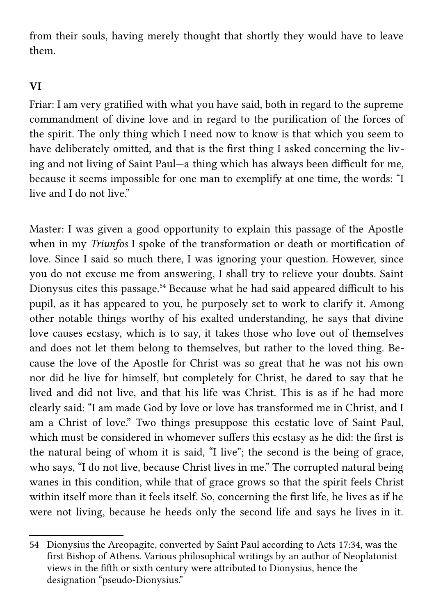from their souls, having merely thought that shortly they would have to leave them.

## **VI**

Friar: I am very gratified with what you have said, both in regard to the supreme commandment of divine love and in regard to the purification of the forces of the spirit. The only thing which I need now to know is that which you seem to have deliberately omitted, and that is the first thing I asked concerning the living and not living of Saint Paul—a thing which has always been difficult for me, because it seems impossible for one man to exemplify at one time, the words: "I live and I do not live."

Master: I was given a good opportunity to explain this passage of the Apostle when in my *Triunfos* I spoke of the transformation or death or mortification of love. Since I said so much there, I was ignoring your question. However, since you do not excuse me from answering, I shall try to relieve your doubts. Saint Dionysus cites this passage.<sup>[54](#page-27-0)</sup> Because what he had said appeared difficult to his pupil, as it has appeared to you, he purposely set to work to clarify it. Among other notable things worthy of his exalted understanding, he says that divine love causes ecstasy, which is to say, it takes those who love out of themselves and does not let them belong to themselves, but rather to the loved thing. Because the love of the Apostle for Christ was so great that he was not his own nor did he live for himself, but completely for Christ, he dared to say that he lived and did not live, and that his life was Christ. This is as if he had more clearly said: "I am made God by love or love has transformed me in Christ, and I am a Christ of love." Two things presuppose this ecstatic love of Saint Paul, which must be considered in whomever suffers this ecstasy as he did: the first is the natural being of whom it is said, "I live"; the second is the being of grace, who says, "I do not live, because Christ lives in me." The corrupted natural being wanes in this condition, while that of grace grows so that the spirit feels Christ within itself more than it feels itself. So, concerning the first life, he lives as if he were not living, because he heeds only the second life and says he lives in it.

<span id="page-27-0"></span><sup>54</sup> Dionysius the Areopagite, converted by Saint Paul according to Acts 17:34, was the first Bishop of Athens. Various philosophical writings by an author of Neoplatonist views in the fifth or sixth century were attributed to Dionysius, hence the designation "pseudo-Dionysius."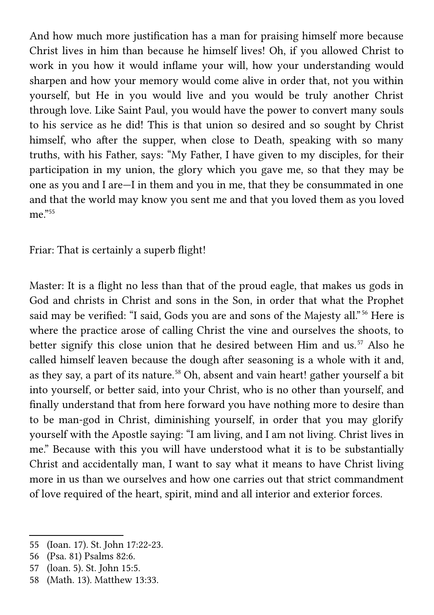And how much more justification has a man for praising himself more because Christ lives in him than because he himself lives! Oh, if you allowed Christ to work in you how it would inflame your will, how your understanding would sharpen and how your memory would come alive in order that, not you within yourself, but He in you would live and you would be truly another Christ through love. Like Saint Paul, you would have the power to convert many souls to his service as he did! This is that union so desired and so sought by Christ himself, who after the supper, when close to Death, speaking with so many truths, with his Father, says: "My Father, I have given to my disciples, for their participation in my union, the glory which you gave me, so that they may be one as you and I are—I in them and you in me, that they be consummated in one and that the world may know you sent me and that you loved them as you loved  $me^{355}$  $me^{355}$  $me^{355}$ 

Friar: That is certainly a superb flight!

Master: It is a flight no less than that of the proud eagle, that makes us gods in God and christs in Christ and sons in the Son, in order that what the Prophet said may be verified: "I said, Gods you are and sons of the Majesty all."<sup>[56](#page-28-1)</sup> Here is where the practice arose of calling Christ the vine and ourselves the shoots, to better signify this close union that he desired between Him and us.<sup>[57](#page-28-2)</sup> Also he called himself leaven because the dough after seasoning is a whole with it and, as they say, a part of its nature.<sup>[58](#page-28-3)</sup> Oh, absent and vain heart! gather yourself a bit into yourself, or better said, into your Christ, who is no other than yourself, and finally understand that from here forward you have nothing more to desire than to be man-god in Christ, diminishing yourself, in order that you may glorify yourself with the Apostle saying: "I am living, and I am not living. Christ lives in me." Because with this you will have understood what it is to be substantially Christ and accidentally man, I want to say what it means to have Christ living more in us than we ourselves and how one carries out that strict commandment of love required of the heart, spirit, mind and all interior and exterior forces.

<span id="page-28-0"></span><sup>55</sup> (Ioan. 17). St. John 17:22-23.

<span id="page-28-1"></span><sup>56</sup> (Psa. 81) Psalms 82:6.

<span id="page-28-2"></span><sup>57</sup> (loan. 5). St. John 15:5.

<span id="page-28-3"></span><sup>58</sup> (Math. 13). Matthew 13:33.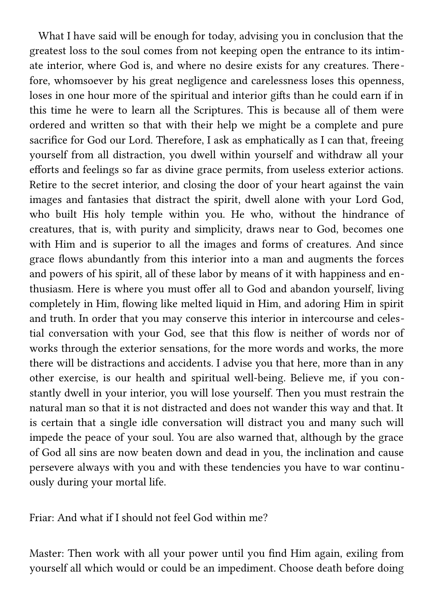What I have said will be enough for today, advising you in conclusion that the greatest loss to the soul comes from not keeping open the entrance to its intimate interior, where God is, and where no desire exists for any creatures. Therefore, whomsoever by his great negligence and carelessness loses this openness, loses in one hour more of the spiritual and interior gifts than he could earn if in this time he were to learn all the Scriptures. This is because all of them were ordered and written so that with their help we might be a complete and pure sacrifice for God our Lord. Therefore, I ask as emphatically as I can that, freeing yourself from all distraction, you dwell within yourself and withdraw all your efforts and feelings so far as divine grace permits, from useless exterior actions. Retire to the secret interior, and closing the door of your heart against the vain images and fantasies that distract the spirit, dwell alone with your Lord God, who built His holy temple within you. He who, without the hindrance of creatures, that is, with purity and simplicity, draws near to God, becomes one with Him and is superior to all the images and forms of creatures. And since grace flows abundantly from this interior into a man and augments the forces and powers of his spirit, all of these labor by means of it with happiness and enthusiasm. Here is where you must offer all to God and abandon yourself, living completely in Him, flowing like melted liquid in Him, and adoring Him in spirit and truth. In order that you may conserve this interior in intercourse and celestial conversation with your God, see that this flow is neither of words nor of works through the exterior sensations, for the more words and works, the more there will be distractions and accidents. I advise you that here, more than in any other exercise, is our health and spiritual well-being. Believe me, if you constantly dwell in your interior, you will lose yourself. Then you must restrain the natural man so that it is not distracted and does not wander this way and that. It is certain that a single idle conversation will distract you and many such will impede the peace of your soul. You are also warned that, although by the grace of God all sins are now beaten down and dead in you, the inclination and cause persevere always with you and with these tendencies you have to war continuously during your mortal life.

Friar: And what if I should not feel God within me?

Master: Then work with all your power until you find Him again, exiling from yourself all which would or could be an impediment. Choose death before doing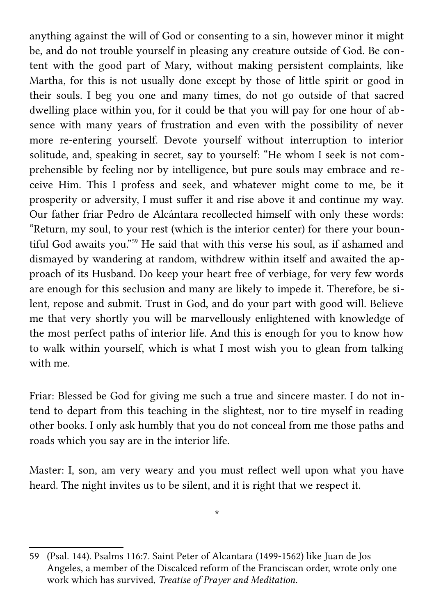anything against the will of God or consenting to a sin, however minor it might be, and do not trouble yourself in pleasing any creature outside of God. Be content with the good part of Mary, without making persistent complaints, like Martha, for this is not usually done except by those of little spirit or good in their souls. I beg you one and many times, do not go outside of that sacred dwelling place within you, for it could be that you will pay for one hour of absence with many years of frustration and even with the possibility of never more re-entering yourself. Devote yourself without interruption to interior solitude, and, speaking in secret, say to yourself: "He whom I seek is not comprehensible by feeling nor by intelligence, but pure souls may embrace and receive Him. This I profess and seek, and whatever might come to me, be it prosperity or adversity, I must suffer it and rise above it and continue my way. Our father friar Pedro de Alcántara recollected himself with only these words: "Return, my soul, to your rest (which is the interior center) for there your bountiful God awaits you."[59](#page-30-0) He said that with this verse his soul, as if ashamed and dismayed by wandering at random, withdrew within itself and awaited the approach of its Husband. Do keep your heart free of verbiage, for very few words are enough for this seclusion and many are likely to impede it. Therefore, be silent, repose and submit. Trust in God, and do your part with good will. Believe me that very shortly you will be marvellously enlightened with knowledge of the most perfect paths of interior life. And this is enough for you to know how to walk within yourself, which is what I most wish you to glean from talking with me.

Friar: Blessed be God for giving me such a true and sincere master. I do not intend to depart from this teaching in the slightest, nor to tire myself in reading other books. I only ask humbly that you do not conceal from me those paths and roads which you say are in the interior life.

Master: I, son, am very weary and you must reflect well upon what you have heard. The night invites us to be silent, and it is right that we respect it.

\*

<span id="page-30-0"></span><sup>59</sup> (Psal. 144). Psalms 116:7. Saint Peter of Alcantara (1499-1562) like Juan de Jos Angeles, a member of the Discalced reform of the Franciscan order, wrote only one work which has survived, *Treatise of Prayer and Meditation*.